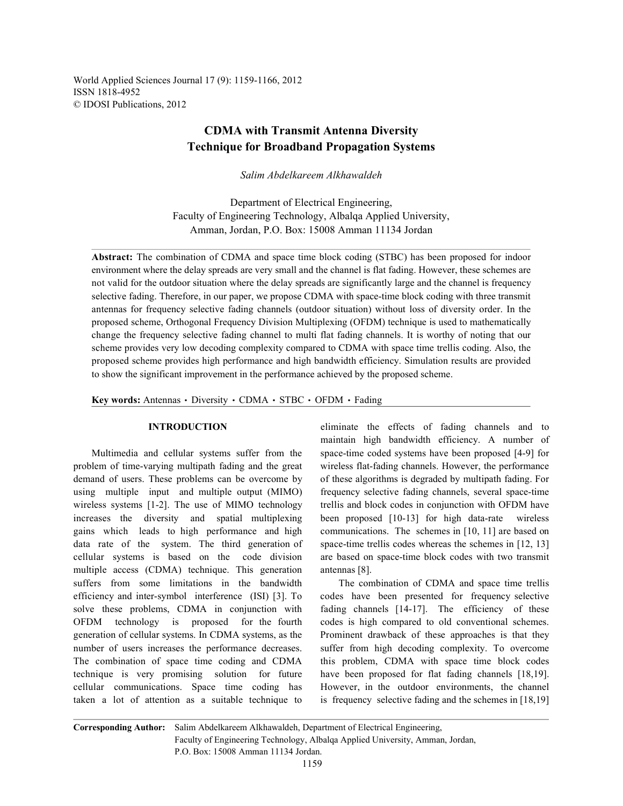World Applied Sciences Journal 17 (9): 1159-1166, 2012 ISSN 1818-4952 © IDOSI Publications, 2012

## **CDMA with Transmit Antenna Diversity Technique for Broadband Propagation Systems**

*Salim Abdelkareem Alkhawaldeh*

Department of Electrical Engineering, Faculty of Engineering Technology, Albalqa Applied University, Amman, Jordan, P.O. Box: 15008 Amman 11134 Jordan

**Abstract:** The combination of CDMA and space time block coding (STBC) has been proposed for indoor environment where the delay spreads are very small and the channel is flat fading. However, these schemes are not valid for the outdoor situation where the delay spreads are significantly large and the channel is frequency selective fading. Therefore, in our paper, we propose CDMA with space-time block coding with three transmit antennas for frequency selective fading channels (outdoor situation) without loss of diversity order. In the proposed scheme, Orthogonal Frequency Division Multiplexing (OFDM) technique is used to mathematically change the frequency selective fading channel to multi flat fading channels. It is worthy of noting that our scheme provides very low decoding complexity compared to CDMA with space time trellis coding. Also, the proposed scheme provides high performance and high bandwidth efficiency. Simulation results are provided to show the significant improvement in the performance achieved by the proposed scheme.

**Key words:** Antennas · Diversity · CDMA · STBC · OFDM · Fading

problem of time-varying multipath fading and the great wireless flat-fading channels. However, the performance demand of users. These problems can be overcome by of these algorithms is degraded by multipath fading. For using multiple input and multiple output (MIMO) frequency selective fading channels, several space-time wireless systems [1-2]. The use of MIMO technology trellis and block codes in conjunction with OFDM have increases the diversity and spatial multiplexing been proposed [10-13] for high data-rate wireless gains which leads to high performance and high communications. The schemes in [10, 11] are based on data rate of the system. The third generation of space-time trellis codes whereas the schemes in [12, 13] cellular systems is based on the code division are based on space-time block codes with two transmit multiple access (CDMA) technique. This generation antennas [8]. suffers from some limitations in the bandwidth The combination of CDMA and space time trellis efficiency and inter-symbol interference (ISI) [3]. To codes have been presented for frequency selective solve these problems, CDMA in conjunction with fading channels [14-17]. The efficiency of these OFDM technology is proposed for the fourth codes is high compared to old conventional schemes. generation of cellular systems. In CDMA systems, as the Prominent drawback of these approaches is that they number of users increases the performance decreases. suffer from high decoding complexity. To overcome The combination of space time coding and CDMA this problem, CDMA with space time block codes technique is very promising solution for future have been proposed for flat fading channels [18,19]. cellular communications. Space time coding has However, in the outdoor environments, the channel taken a lot of attention as a suitable technique to is frequency selective fading and the schemes in [18,19]

**INTRODUCTION** eliminate the effects of fading channels and to Multimedia and cellular systems suffer from the space-time coded systems have been proposed [4-9] for maintain high bandwidth efficiency. A number of

**Corresponding Author:** Salim Abdelkareem Alkhawaldeh, Department of Electrical Engineering, Faculty of Engineering Technology, Albalqa Applied University, Amman, Jordan, P.O. Box: 15008 Amman 11134 Jordan.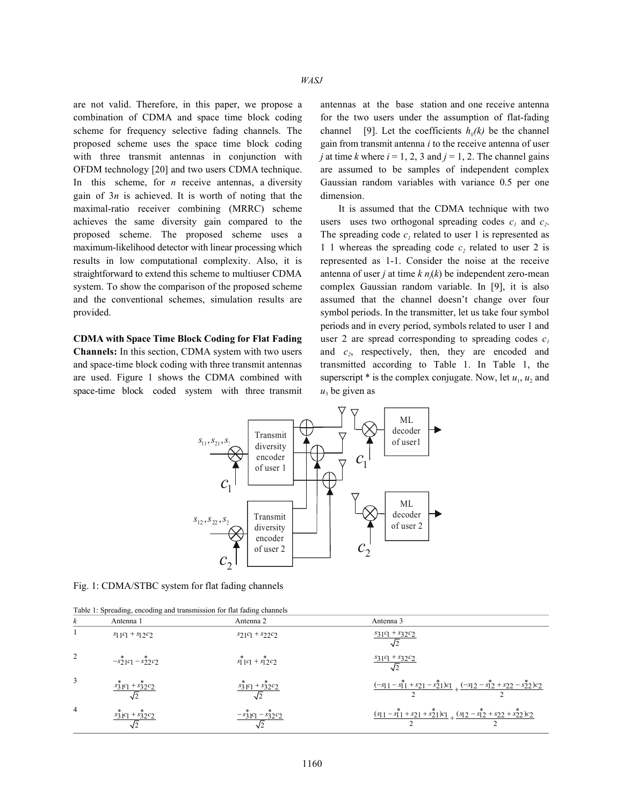are not valid. Therefore, in this paper, we propose a antennas at the base station and one receive antenna combination of CDMA and space time block coding for the two users under the assumption of flat-fading scheme for frequency selective fading channels. The channel [9]. Let the coefficients  $h_{ij}(k)$  be the channel proposed scheme uses the space time block coding gain from transmit antenna *i* to the receive antenna of user with three transmit antennas in conjunction with *j* at time *k* where  $i = 1, 2, 3$  and  $j = 1, 2$ . The channel gains OFDM technology [20] and two users CDMA technique. are assumed to be samples of independent complex In this scheme, for *n* receive antennas, a diversity Gaussian random variables with variance 0.5 per one gain of 3*n* is achieved. It is worth of noting that the dimension. maximal-ratio receiver combining (MRRC) scheme It is assumed that the CDMA technique with two achieves the same diversity gain compared to the proposed scheme. The proposed scheme uses a The spreading code  $c<sub>l</sub>$  related to user 1 is represented as maximum-likelihood detector with linear processing which  $1 \t1$  whereas the spreading code  $c_2$  related to user 2 is results in low computational complexity. Also, it is represented as 1-1. Consider the noise at the receive straightforward to extend this scheme to multiuser CDMA antenna of user *j* at time  $k n_j(k)$  be independent zero-mean system. To show the comparison of the proposed scheme complex Gaussian random variable. In [9], it is also and the conventional schemes, simulation results are assumed that the channel doesn't change over four provided. symbol periods. In the transmitter, let us take four symbol

**Channels:** In this section, CDMA system with two users and  $c<sub>2</sub>$ , respectively, then, they are encoded and and space-time block coding with three transmit antennas transmitted according to Table 1. In Table 1, the are used. Figure 1 shows the CDMA combined with superscript  $*$  is the complex conjugate. Now, let  $u_1, u_2$  and space-time block coded system with three transmit

periods and in every period, symbols related to user 1 and **CDMA with Space Time Block Coding for Flat Fading** user 2 are spread corresponding to spreading codes  $c_1$ users uses two orthogonal spreading codes  $c_1$  and  $c_2$ .  $u_3$  be given as



Fig. 1: CDMA/STBC system for flat fading channels

|  |  | Table 1: Spreading, encoding and transmission for flat fading channels |  |  |  |
|--|--|------------------------------------------------------------------------|--|--|--|

| ĸ | Antenna 1                                              | Antenna 2                                             | Antenna 3                                                                                                       |
|---|--------------------------------------------------------|-------------------------------------------------------|-----------------------------------------------------------------------------------------------------------------|
|   | $s_1$ 1 $c_1$ + $s_1$ 2 $c_2$                          | $s_2c_1 + s_2c_2$                                     | $s_3c_1 + s_3c_2$                                                                                               |
|   | $-s_2^*$ <sub>1</sub> $c_1 - s_2^*$ <sub>2</sub> $c_2$ | $s_1^*$ <sub>1</sub> $c_1 + s_1^*$ <sub>2</sub> $c_2$ | $s_3c_1 + s_3c_2c_2$                                                                                            |
| 3 | $rac{s_3^*}{s_2^*}$ $c_1 + s_3^*$ $c_2$                | $s_3c_1 + s_3c_2$                                     | $\frac{(-s_{11} - s_{11}^* + s_{21} - s_{21}^*)c_{1}}{c_{12}^* + (s_{12} - s_{12}^* + s_{22} - s_{22}^*)c_{2}}$ |
| 4 | $s_3^*$ <sub>1</sub> $c_1 + s_3^*$ <sub>2</sub> $c_2$  | $-\frac{s_3}{2}c_1 - \frac{s_3}{2}c_2$                | $\frac{(s_{11} - s_{11}^* + s_{21} + s_{21}^*)c_1}{(s_{12} - s_{12}^* + s_{22} + s_{22}^*)c_2}$                 |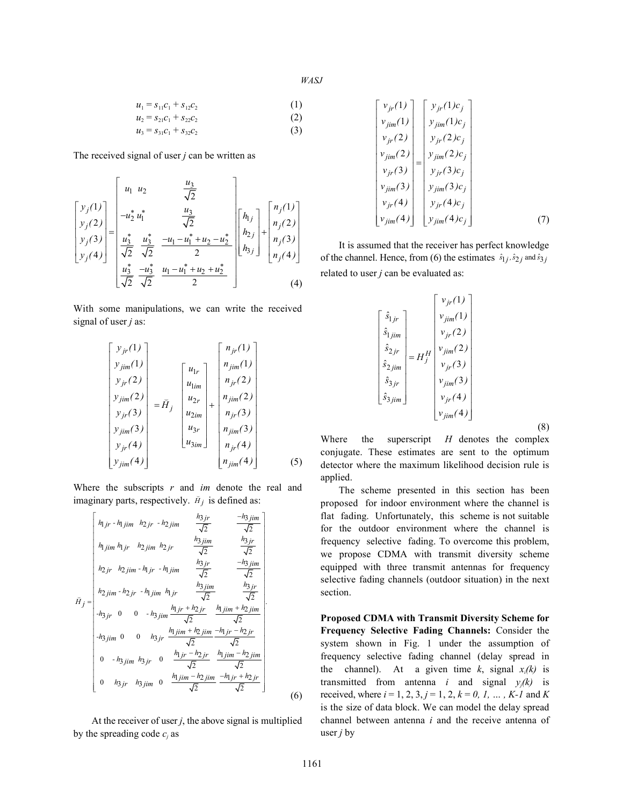*WASJ*

$$
u_1 = s_{11}c_1 + s_{12}c_2 \tag{1}
$$

$$
u_2 = s_{21}c_1 + s_{22}c_2 \tag{2}
$$

 $u_3 = s_{31}c_1 + s_{32}c_2$  (3)

The received signal of user *j* can be written as

$$
\begin{bmatrix} y_j(1) \\ y_j(2) \\ y_j(3) \\ y_j(4) \end{bmatrix} = \begin{bmatrix} u_1 & u_2 & \frac{u_3}{\sqrt{2}} \\ -u_2^* u_1^* & \frac{u_3}{\sqrt{2}} \\ \frac{u_3^*}{\sqrt{2}} & \frac{u_3^*}{\sqrt{2}} & -u_1 - u_1^* + u_2 - u_2^* \\ \frac{u_3^*}{\sqrt{2}} & \frac{-u_1 - u_1^* + u_2 - u_2^*}{2} \\ \frac{u_3^*}{\sqrt{2}} & \frac{-u_3^*}{\sqrt{2}} & \frac{u_1 - u_1^* + u_2 + u_2^*}{2} \end{bmatrix} \begin{bmatrix} n_j(1) \\ n_j(2) \\ n_j(3) \\ n_j(4) \end{bmatrix}
$$
 (4)

With some manipulations, we can write the received signal of user *j* as:

$$
\begin{bmatrix} y_{jr}(1) \\ y_{jim}(1) \\ y_{jr}(2) \\ y_{jm}(2) \\ y_{jm}(3) \\ y_{jm}(3) \\ y_{jr}(4) \\ y_{jim}(4) \end{bmatrix} = \tilde{H}_{j} \begin{bmatrix} u_{lr} \\ u_{lim} \\ u_{2m} \\ u_{2m} \\ u_{2m} \\ u_{3m} \end{bmatrix} + \begin{bmatrix} n_{jr}(1) \\ n_{jim}(1) \\ n_{jr}(2) \\ n_{jm}(3) \\ n_{jm}(3) \\ n_{jm}(3) \\ n_{jr}(4) \\ n_{jm}(4) \end{bmatrix}
$$
(5)

imaginary parts, respectively.  $\bar{H}_j$  is defined as: Where the subscripts *r* and *im* denote the real and

$$
\bar{H}_{j} = \begin{bmatrix}\nh_{j}r - h_{j}jm & h_{2jr} - h_{2jim} & \frac{h_{3jr}}{\sqrt{2}} & \frac{-h_{3jim}}{\sqrt{2}} \\
h_{j}jm & h_{1jr} & h_{2jim} & \frac{h_{3jm}}{\sqrt{2}} & \frac{h_{3jr}}{\sqrt{2}} \\
h_{2jr} & h_{2jim} - h_{1jr} - h_{1jim} & \frac{h_{3jr}}{\sqrt{2}} & \frac{-h_{3jim}}{\sqrt{2}} \\
h_{2jim} - h_{2jr} - h_{1jim} & h_{1jr} & \frac{h_{3jm}}{\sqrt{2}} & \frac{h_{3jr}}{\sqrt{2}} \\
-h_{3jr} & 0 & 0 & -h_{3jim} & \frac{h_{1jr} + h_{2jr}}{\sqrt{2}} & \frac{h_{jim} + h_{2jim}}{\sqrt{2}} \\
-h_{3jim} & 0 & 0 & h_{3jr} & \frac{h_{1jim} + h_{2jim}}{\sqrt{2}} & \frac{-h_{1jr} - h_{2jr}}{\sqrt{2}} \\
0 & -h_{3jim} & h_{3jr} & 0 & \frac{h_{1jr} - h_{2jr}}{\sqrt{2}} & \frac{h_{1jim} - h_{2jim}}{\sqrt{2}} \\
0 & h_{3jr} & h_{3jim} & 0 & \frac{h_{1jim} - h_{2jim}}{\sqrt{2}} & \frac{-h_{1jr} + h_{2jr}}{\sqrt{2}}\n\end{bmatrix}
$$
\n(6)

At the receiver of user  $j$ , the above signal is multiplied by the spreading code  $c_i$  as

$$
\begin{bmatrix}\nv_{jr}(1) \\
v_{jim}(1) \\
v_{jr}(2) \\
v_{jr}(2)\n\end{bmatrix} = \begin{bmatrix}\ny_{jr}(1)c_j \\
y_{jim}(1)c_j \\
y_{jr}(2)c_j \\
y_{jm}(2)\n\end{bmatrix}
$$
\n
$$
\begin{bmatrix}\nv_{jr}(1) \\
v_{jm}(2)c_j \\
v_{jr}(3)\n\end{bmatrix} = \begin{bmatrix}\ny_{jm}(1)c_j \\
y_{jim}(2)c_j \\
y_{jr}(3)c_j \\
y_{jm}(3)c_j \\
y_{jm}(4)\n\end{bmatrix}
$$
\n(7)

of the channel. Hence, from (6) the estimates  $\hat{s}_{1j}$ ,  $\hat{s}_{2j}$  and  $\hat{s}_{3j}$ It is assumed that the receiver has perfect knowledge related to user *j* can be evaluated as:

$$
\begin{bmatrix}\n\hat{s}_{1jr} \\
\hat{s}_{1jim} \\
\hat{s}_{2jr} \\
\hat{s}_{2jr} \\
\hat{s}_{3jr} \\
\hat{s}_{3jim}\n\end{bmatrix} = H_j^H \begin{bmatrix}\nv_{jr}(1) \\
v_{jim}(1) \\
v_{jr}(2) \\
v_{jr}(3) \\
v_{jm}(3) \\
v_{jim}(4)\n\end{bmatrix}
$$

(8)

Where the superscript *H* denotes the complex conjugate. These estimates are sent to the optimum detector where the maximum likelihood decision rule is applied.

The scheme presented in this section has been proposed for indoor environment where the channel is flat fading. Unfortunately, this scheme is not suitable for the outdoor environment where the channel is frequency selective fading. To overcome this problem, we propose CDMA with transmit diversity scheme equipped with three transmit antennas for frequency selective fading channels (outdoor situation) in the next section.

**Proposed CDMA with Transmit Diversity Scheme for Frequency Selective Fading Channels:** Consider the system shown in Fig. 1 under the assumption of frequency selective fading channel (delay spread in the channel). At a given time  $k$ , signal  $x_i(k)$  is transmitted from antenna *i* and signal  $y_i(k)$  is received, where  $i = 1, 2, 3, j = 1, 2, k = 0, 1, \dots, K-1$  and K is the size of data block. We can model the delay spread channel between antenna *i* and the receive antenna of user *j* by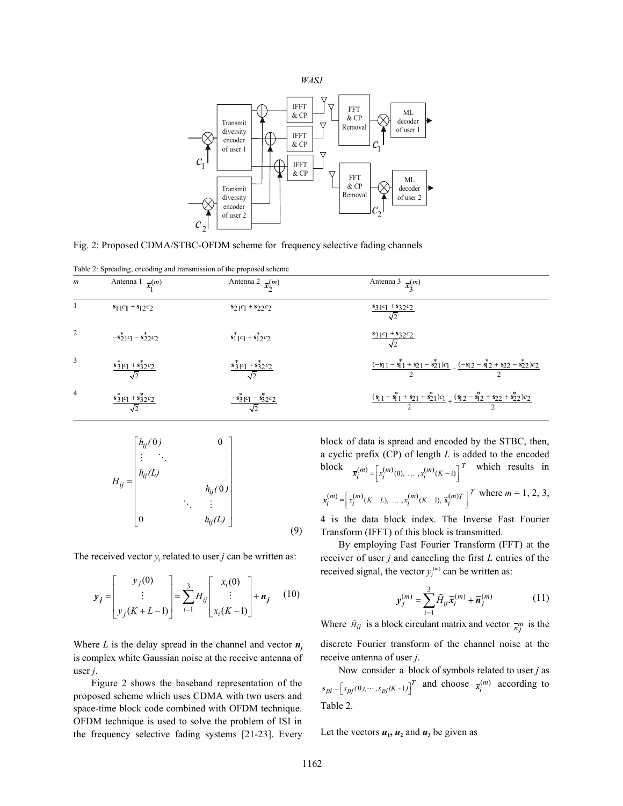



Fig. 2: Proposed CDMA/STBC-OFDM scheme for frequency selective fading channels

| Table 2: Spreading, encoding and transmission of the proposed scheme |  |  |  |  |
|----------------------------------------------------------------------|--|--|--|--|
|----------------------------------------------------------------------|--|--|--|--|

| $\boldsymbol{m}$ | Antenna 1 $\bar{x}_1^{(m)}$                            | Antenna 2 $\bar{x}_2^{(m)}$                           | Antenna 3 $\bar{x}_2^{(m)}$                                                                                       |
|------------------|--------------------------------------------------------|-------------------------------------------------------|-------------------------------------------------------------------------------------------------------------------|
|                  | $s_1_1c_1 + s_1_2c_2$                                  | $s_2c_1 + s_2c_2$                                     | $\frac{s_3c_1 + s_3c_2}{\sqrt{2}}$                                                                                |
|                  | $-s_2^*$ <sub>1</sub> $c_1 - s_2^*$ <sub>2</sub> $c_2$ | $s_1^*$ <sub>1</sub> $c_1 + s_1^*$ <sub>2</sub> $c_2$ | $\frac{s_3c_1 + s_3c_2}{\sqrt{2}}$                                                                                |
| 3                | $\frac{s_3^*_{1}c_1 + s_3^*_{2}c_2}{\sqrt{2}}$         | $\frac{s_3^*_{1C_1} + s_3^*_{2C_2}}{\sqrt{2}}$        | $\frac{(-s_{11} - s_{11}^* + s_{21} - s_{21}^*)c_1}{2} + \frac{(-s_{12} - s_{12}^* + s_{22} - s_{22}^*)c_2}{2}$   |
| $\overline{4}$   | $\frac{\sqrt{3}^{2}C_{1} + \sqrt{3}^{2}C_{2}}{C_{1}}$  | $-\frac{1}{3}C_1 - \frac{1}{32}C_2$                   | $\frac{(s_{1} - s_{1}^{*} + s_{2} + s_{2}^{*})c_{1}}{2} + \frac{(s_{1} - s_{2}^{*} + s_{2} + s_{2}^{*})c_{2}}{2}$ |

$$
H_{ij} = \begin{bmatrix} h_{ij}(0) & 0 \\ \vdots & \ddots & \vdots \\ h_{ij}(L) & & \ddots & \vdots \\ 0 & & h_{ij}(L) \end{bmatrix}
$$
(9)

The received vector  $y_i$  related to user *j* can be written as:

$$
\mathbf{y}_{j} = \begin{bmatrix} y_{j}(0) \\ \vdots \\ y_{j}(K+L-1) \end{bmatrix} = \sum_{i=1}^{3} H_{ij} \begin{bmatrix} x_{i}(0) \\ \vdots \\ x_{i}(K-1) \end{bmatrix} + \mathbf{n}_{j} \quad (10)
$$

Where *L* is the delay spread in the channel and vector  $n_i$ is complex white Gaussian noise at the receive antenna of user *j*.

Figure 2 shows the baseband representation of the proposed scheme which uses CDMA with two users and space-time block code combined with OFDM technique. OFDM technique is used to solve the problem of ISI in the frequency selective fading systems [21-23]. Every

block  $\bar{x}_i^{(m)} = \left[x_i^{(m)}(0), \dots, x_i^{(m)}(K-1)\right]^T$  which results in  $\mathbf{x}_i^{(m)} = \left[ x_i^{(m)}(K-L), \dots, x_i^{(m)}(K-1), \overline{\mathbf{x}}_i^{(m)} \right]^T$  where  $m = 1, 2, 3, ...$ block of data is spread and encoded by the STBC, then, a cyclic prefix (CP) of length *L* is added to the encoded

4 is the data block index. The Inverse Fast Fourier Transform (IFFT) of this block is transmitted.

By employing Fast Fourier Transform (FFT) at the receiver of user *j* and canceling the first *L* entries of the received signal, the vector  $y_j^{(m)}$  can be written as:

$$
\mathbf{y}_{j}^{(m)} = \sum_{i=1}^{3} \tilde{H}_{ij} \overline{\mathbf{x}}_{i}^{(m)} + \overline{\mathbf{n}}_{j}^{(m)}
$$
(11)

Where  $\tilde{H}_{ij}$  is a block circulant matrix and vector  $\frac{-m}{n_j}$  is the discrete Fourier transform of the channel noise at the receive antenna of user *j*.

 $\mathbf{s}_{pj} = \begin{bmatrix} s_{pj}(0), \cdots, s_{pj}(K-1) \end{bmatrix}^T$  and choose  $\bar{\mathbf{x}}_i^{(m)}$  according to Now consider a block of symbols related to user *j* as Table 2.

Let the vectors  $u_1$ ,  $u_2$  and  $u_3$  be given as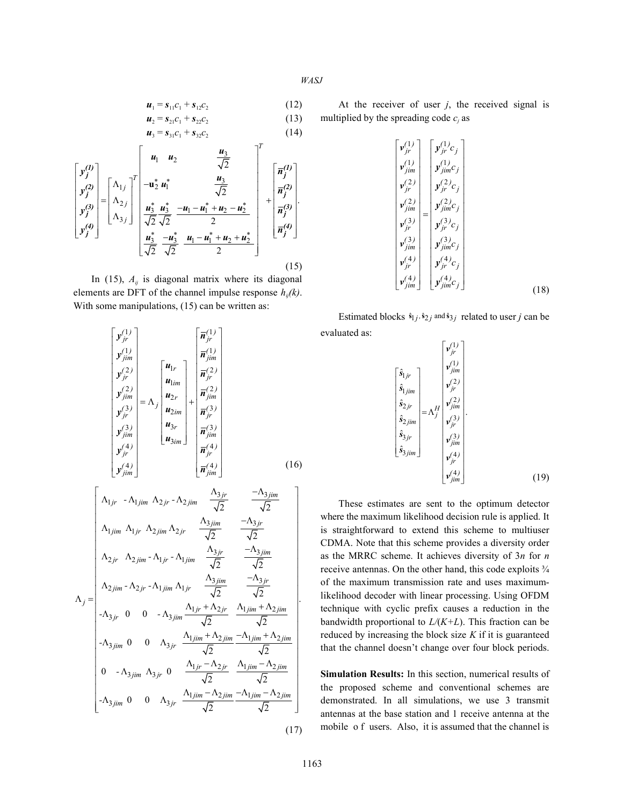$$
WASJ
$$

$$
C_1 = \mathbf{S}_{11} C_1 + \mathbf{S}_{12} C_2 \tag{12}
$$

$$
u_2 = s_{21}c_1 + s_{22}c_2
$$
  
\n
$$
u_3 = s_{31}c_1 + s_{32}c_2
$$
\n(13)

$$
\begin{bmatrix} y_j^{(1)} \\ y_j^{(2)} \\ y_j^{(3)} \\ y_j^{(4)} \end{bmatrix} = \begin{bmatrix} \Delta_{1j} \\ \Delta_{2j} \\ \Delta_{3j} \end{bmatrix}^T \begin{bmatrix} u_1 & u_2 & \frac{u_3}{\sqrt{2}} \\ -u_2^* u_1^* & \frac{u_3}{\sqrt{2}} \\ \frac{u_3^*}{\sqrt{2}} \frac{u_3^*}{\sqrt{2}} & -u_1 - u_1^* + u_2 - u_2^* \\ \frac{u_3^*}{\sqrt{2}} \frac{u_3 - u_3^*}{\sqrt{2}} & \frac{u_1 - u_1^* + u_2 + u_2^*}{2} \end{bmatrix} + \begin{bmatrix} \overline{n}_j^{(1)} \\ \overline{n}_j^{(2)} \\ \overline{n}_j^{(3)} \\ \overline{n}_j^{(4)} \end{bmatrix}.
$$
\n(15)

In (15),  $A_{ij}$  is diagonal matrix where its diagonal elements are DFT of the channel impulse response  $h_{ii}(k)$ . With some manipulations, (15) can be written as:

$$
\begin{bmatrix}\ny_j^{(1)} \\
y_{jm}^{(1)} \\
y_{jm}^{(2)} \\
y_{jm}^{(2)} \\
y_{jm}^{(3)} \\
y_{jm}^{(4)}\n\end{bmatrix} = \Lambda_j\n\begin{bmatrix}\nu_{lr} \\
u_{lm} \\
u_{2m} \\
u_{3m}\n\end{bmatrix} + \frac{\overline{n}_{jm}^{(2)}}{\overline{n}_{jim}^{(2)}} \\
\overline{n}_{jim}^{(3)} \\
\overline{n}_{jm}^{(4)}\n\end{bmatrix} + \frac{\overline{n}_{jm}^{(3)}}{\overline{n}_{jim}^{(3)}} \\
\overline{n}_{jim}^{(4)}\n\begin{bmatrix}\n\overline{n}_{jm}^{(4)} \\
\overline{n}_{jim}^{(5)} \\
\overline{n}_{jim}^{(4)}\n\end{bmatrix} + \frac{\overline{n}_{jm}^{(5)}}{\overline{n}_{jim}^{(4)}} \\
\overline{n}_{jim}^{(4)}\n\end{bmatrix} + \frac{\overline{n}_{jm}^{(4)}}{\overline{n}_{jm}^{(4)}} \\
\overline{n}_{jm}^{(4)}\n\begin{bmatrix}\n\Lambda_{1jr} - \Lambda_{1jim} \Lambda_{2jr} - \Lambda_{2jim} \frac{\Lambda_{3jr}}{\sqrt{2}} & \frac{-\Lambda_{3jim}}{\sqrt{2}} \\
\Lambda_{2jr} \Lambda_{2jim} - \Lambda_{1jr} - \Lambda_{1jim} \frac{\Lambda_{3jr}}{\sqrt{2}} & \frac{-\Lambda_{3jim}}{\sqrt{2}} \\
\Lambda_{2jm} - \Lambda_{2jr} - \Lambda_{1jim} \Lambda_{1jr} \frac{\Lambda_{3jm}}{\sqrt{2}} & \frac{-\Lambda_{3jm}}{\sqrt{2}} \\
-\Lambda_{3jr} 0 & 0 & -\Lambda_{3jim} \frac{\Lambda_{1jr} + \Lambda_{2jr}}{\sqrt{2}} & \frac{\Lambda_{1jim} + \Lambda_{2jim}}{\sqrt{2}} \\
-\Lambda_{3jim} 0 & 0 & \Lambda_{3jr} \frac{\Lambda_{1jm} + \Lambda_{2jim}}{\sqrt{2}} & \frac{\Lambda_{1jim} + \Lambda_{2jim}}{\sqrt{2}} \\
0 & -\Lambda_{3jim} \Lambda_{3jr} 0 & \frac{\Lambda_{1jr} - \Lambda_{2jr}}{\sqrt{2}} & \frac{\Lambda_{1jim} - \Lambda_{2jim}}{\sqrt{2}} \\
-\Lambda_{3jim} 0 & 0 & \Lambda_{3jr} \frac{\Lambda_{1jim} - \Lambda_{2jim}}{\sqrt{2}} & \frac{-\Lambda_{
$$

 $u_1 = s_{11}c_1 + s_{12}c_2$  (12) At the receiver of user *j*, the received signal is multiplied by the spreading code  $c_j$  as

$$
\begin{bmatrix}\n v_{jr}^{(1)} \\
 v_{jim}^{(1)} \\
 v_{jim}^{(2)} \\
 v_{jr}^{(2)} \\
 v_{jm}^{(3)} \\
 v_{jm}^{(3)} \\
 v_{jm}^{(4)} \\
 v_{jm}^{(4)} \\
 v_{jm}^{(4)} \\
 v_{jm}^{(4)} \\
 v_{jm}^{(4)} \\
 v_{jm}^{(4)} \\
 v_{jm}^{(4)} \\
 v_{jm}^{(4)} \\
 v_{jm}^{(4)} \\
 v_{jm}^{(4)} \\
 v_{jm}^{(4)} \\
 v_{jm}^{(4)} \\
 c_{jm}^{(4)} \\
 c_{jim}^{(4)}(c_{j})\n\end{bmatrix}\n\begin{bmatrix}\n y_{jr}^{(1)}c_{j} \\
 y_{jm}^{(2)}c_{j} \\
 y_{jr}^{(3)}c_{j} \\
 y_{jm}^{(4)}c_{j}\n\end{bmatrix}
$$
\n(18)

Estimated blocks  $\hat{\mathbf{s}}_{1j}$ ,  $\hat{\mathbf{s}}_{2j}$  and  $\hat{\mathbf{s}}_{3j}$  related to user *j* can be evaluated as:

$$
\begin{bmatrix}\n\hat{\mathbf{s}}_{1jr} \\
\hat{\mathbf{s}}_{jjm} \\
\hat{\mathbf{s}}_{2jm} \\
\hat{\mathbf{s}}_{2jm} \\
\hat{\mathbf{s}}_{3jr} \\
\hat{\mathbf{s}}_{3jm}\n\end{bmatrix} = \Lambda_f^H \begin{bmatrix}\n\mathbf{v}_{jr}^{(1)} \\
\mathbf{v}_{jm}^{(2)} \\
\mathbf{v}_{jr}^{(2)} \\
\mathbf{v}_{jm}^{(3)} \\
\mathbf{v}_{jm}^{(3)} \\
\mathbf{v}_{jm}^{(4)} \\
\mathbf{v}_{jr}^{(4)} \\
\mathbf{v}_{jim}^{(4)}\n\end{bmatrix}.
$$
\n(19)

These estimates are sent to the optimum detector where the maximum likelihood decision rule is applied. It is straightforward to extend this scheme to multiuser CDMA. Note that this scheme provides a diversity order as the MRRC scheme. It achieves diversity of 3*n* for *n* receive antennas. On the other hand, this code exploits  $\frac{3}{4}$ of the maximum transmission rate and uses maximumlikelihood decoder with linear processing. Using OFDM technique with cyclic prefix causes a reduction in the bandwidth proportional to *L/*(*K+L*). This fraction can be reduced by increasing the block size *K* if it is guaranteed that the channel doesn't change over four block periods.

**Simulation Results:** In this section, numerical results of the proposed scheme and conventional schemes are demonstrated. In all simulations, we use 3 transmit antennas at the base station and 1 receive antenna at the mobile o f users. Also, it is assumed that the channel is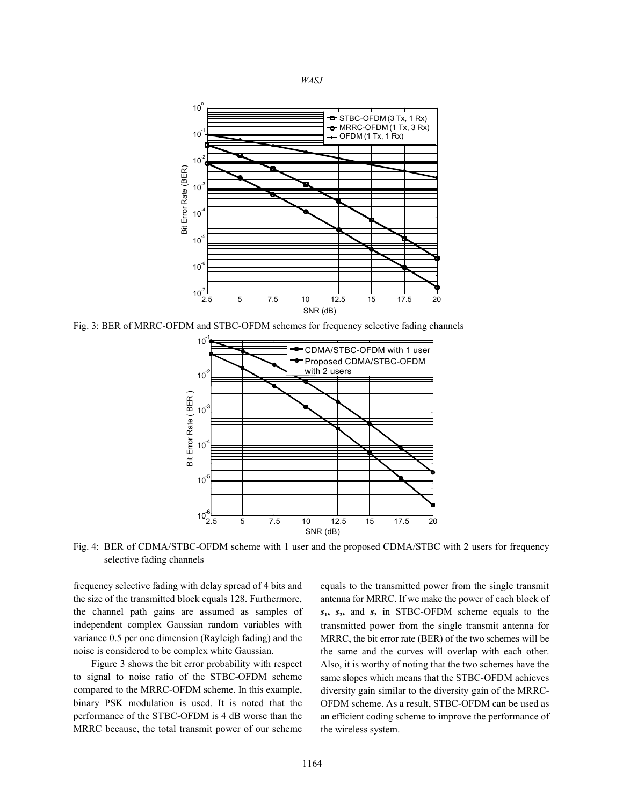



Fig. 3: BER of MRRC-OFDM and STBC-OFDM schemes for frequency selective fading channels



Fig. 4: BER of CDMA/STBC-OFDM scheme with 1 user and the proposed CDMA/STBC with 2 users for frequency selective fading channels

frequency selective fading with delay spread of 4 bits and equals to the transmitted power from the single transmit the size of the transmitted block equals 128. Furthermore, antenna for MRRC. If we make the power of each block of independent complex Gaussian random variables with variance 0.5 per one dimension (Rayleigh fading) and the noise is considered to be complex white Gaussian.

Figure 3 shows the bit error probability with respect to signal to noise ratio of the STBC-OFDM scheme compared to the MRRC-OFDM scheme. In this example, binary PSK modulation is used. It is noted that the performance of the STBC-OFDM is 4 dB worse than the MRRC because, the total transmit power of our scheme

the channel path gains are assumed as samples of  $s_1$ ,  $s_2$ , and  $s_3$  in STBC-OFDM scheme equals to the transmitted power from the single transmit antenna for MRRC, the bit error rate (BER) of the two schemes will be the same and the curves will overlap with each other. Also, it is worthy of noting that the two schemes have the same slopes which means that the STBC-OFDM achieves diversity gain similar to the diversity gain of the MRRC-OFDM scheme. As a result, STBC-OFDM can be used as an efficient coding scheme to improve the performance of the wireless system.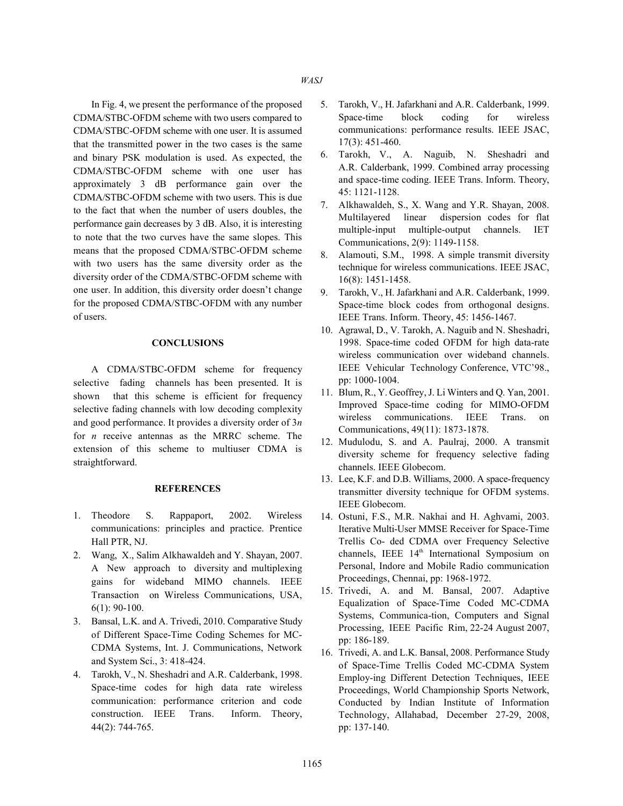CDMA/STBC-OFDM scheme with two users compared to CDMA/STBC-OFDM scheme with one user. It is assumed that the transmitted power in the two cases is the same and binary PSK modulation is used. As expected, the CDMA/STBC-OFDM scheme with one user has approximately 3 dB performance gain over the CDMA/STBC-OFDM scheme with two users. This is due to the fact that when the number of users doubles, the performance gain decreases by 3 dB. Also, it is interesting to note that the two curves have the same slopes. This means that the proposed CDMA/STBC-OFDM scheme with two users has the same diversity order as the diversity order of the CDMA/STBC-OFDM scheme with one user. In addition, this diversity order doesn't change for the proposed CDMA/STBC-OFDM with any number of users.

## **CONCLUSIONS**

A CDMA/STBC-OFDM scheme for frequency selective fading channels has been presented. It is shown that this scheme is efficient for frequency selective fading channels with low decoding complexity and good performance. It provides a diversity order of 3*n* for *n* receive antennas as the MRRC scheme. The extension of this scheme to multiuser CDMA is straightforward.

## **REFERENCES**

- 1. Theodore S. Rappaport, 2002. Wireless communications: principles and practice. Prentice Hall PTR, NJ.
- 2. Wang, X., Salim Alkhawaldeh and Y. Shayan, 2007. A New approach to diversity and multiplexing gains for wideband MIMO channels. IEEE Transaction on Wireless Communications, USA, 6(1): 90-100.
- 3. Bansal, L.K. and A. Trivedi, 2010. Comparative Study of Different Space-Time Coding Schemes for MC-CDMA Systems, Int. J. Communications, Network and System Sci., 3: 418-424.
- 4. Tarokh, V., N. Sheshadri and A.R. Calderbank, 1998. Space-time codes for high data rate wireless communication: performance criterion and code construction. IEEE Trans. Inform. Theory, 44(2): 744-765.
- In Fig. 4, we present the performance of the proposed 5. Tarokh, V., H. Jafarkhani and A.R. Calderbank, 1999. Space-time block coding for wireless communications: performance results. IEEE JSAC, 17(3): 451-460.
	- 6. Tarokh, V., A. Naguib, N. Sheshadri and A.R. Calderbank, 1999. Combined array processing and space-time coding. IEEE Trans. Inform. Theory, 45: 1121-1128.
	- 7. Alkhawaldeh, S., X. Wang and Y.R. Shayan, 2008. Multilayered linear dispersion codes for flat multiple-input multiple-output channels. IET Communications, 2(9): 1149-1158.
	- 8. Alamouti, S.M., 1998. A simple transmit diversity technique for wireless communications. IEEE JSAC, 16(8): 1451-1458.
	- 9. Tarokh, V., H. Jafarkhani and A.R. Calderbank, 1999. Space-time block codes from orthogonal designs. IEEE Trans. Inform. Theory, 45: 1456-1467.
	- 10. Agrawal, D., V. Tarokh, A. Naguib and N. Sheshadri, 1998. Space-time coded OFDM for high data-rate wireless communication over wideband channels. IEEE Vehicular Technology Conference, VTC'98., pp: 1000-1004.
	- 11. Blum, R., Y. Geoffrey, J. Li Winters and Q. Yan, 2001. Improved Space-time coding for MIMO-OFDM wireless communications. IEEE Trans. on Communications, 49(11): 1873-1878.
	- 12. Mudulodu, S. and A. Paulraj, 2000. A transmit diversity scheme for frequency selective fading channels. IEEE Globecom.
	- 13. Lee, K.F. and D.B. Williams, 2000. A space-frequency transmitter diversity technique for OFDM systems. IEEE Globecom.
	- 14. Ostuni, F.S., M.R. Nakhai and H. Aghvami, 2003. Iterative Multi-User MMSE Receiver for Space-Time Trellis Co- ded CDMA over Frequency Selective channels, IEEE 14<sup>th</sup> International Symposium on Personal, Indore and Mobile Radio communication Proceedings, Chennai, pp: 1968-1972.
	- 15. Trivedi, A. and M. Bansal, 2007. Adaptive Equalization of Space-Time Coded MC-CDMA Systems, Communica-tion, Computers and Signal Processing, IEEE Pacific Rim, 22-24 August 2007, pp: 186-189.
	- 16. Trivedi, A. and L.K. Bansal, 2008. Performance Study of Space-Time Trellis Coded MC-CDMA System Employ-ing Different Detection Techniques, IEEE Proceedings, World Championship Sports Network, Conducted by Indian Institute of Information Technology, Allahabad, December 27-29, 2008, pp: 137-140.